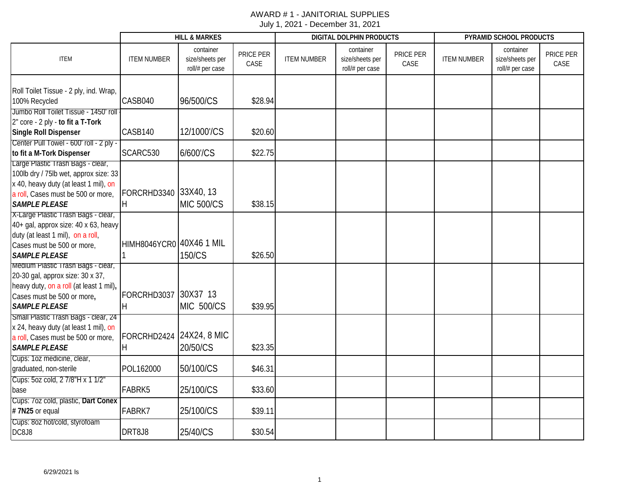|                                                                                                                                                                                   |                          | <b>HILL &amp; MARKES</b>                        |                   |                    | DIGITAL DOLPHIN PRODUCTS                        |                   | PYRAMID SCHOOL PRODUCTS |                                                 |                   |  |
|-----------------------------------------------------------------------------------------------------------------------------------------------------------------------------------|--------------------------|-------------------------------------------------|-------------------|--------------------|-------------------------------------------------|-------------------|-------------------------|-------------------------------------------------|-------------------|--|
| <b>ITEM</b>                                                                                                                                                                       | <b>ITEM NUMBER</b>       | container<br>size/sheets per<br>roll/# per case | PRICE PER<br>CASE | <b>ITEM NUMBER</b> | container<br>size/sheets per<br>roll/# per case | PRICE PER<br>CASE | <b>ITEM NUMBER</b>      | container<br>size/sheets per<br>roll/# per case | PRICE PER<br>CASE |  |
| Roll Toilet Tissue - 2 ply, ind. Wrap,<br>100% Recycled                                                                                                                           | CASB040                  | 96/500/CS                                       | \$28.94           |                    |                                                 |                   |                         |                                                 |                   |  |
| Jumbo Roll Toilet Tissue - 1450' roll<br>2" core - 2 ply - to fit a T-Tork<br><b>Single Roll Dispenser</b>                                                                        | CASB140                  | 12/1000'/CS                                     | \$20.60           |                    |                                                 |                   |                         |                                                 |                   |  |
| Center Pull Towel - 600' roll - 2 ply -<br>to fit a M-Tork Dispenser                                                                                                              | SCARC530                 | 6/600'/CS                                       | \$22.75           |                    |                                                 |                   |                         |                                                 |                   |  |
| Large Plastic Trash Bags - clear,<br>100lb dry / 75lb wet, approx size: 33<br>x 40, heavy duty (at least 1 mil), on<br>a roll, Cases must be 500 or more,<br><b>SAMPLE PLEASE</b> | FORCRHD3340<br>H         | 33X40, 13<br><b>MIC 500/CS</b>                  | \$38.15           |                    |                                                 |                   |                         |                                                 |                   |  |
| X-Large Plastic Trash Bags - clear,<br>40+ gal, approx size: 40 x 63, heavy<br>duty (at least 1 mil), on a roll,<br>Cases must be 500 or more,<br><b>SAMPLE PLEASE</b>            | HIMH8046YCR0 40X46 1 MIL | 150/CS                                          | \$26.50           |                    |                                                 |                   |                         |                                                 |                   |  |
| Medium Plastic Trash Bags - clear,<br>20-30 gal, approx size: 30 x 37,<br>heavy duty, on a roll (at least 1 mil),<br>Cases must be 500 or more,<br><b>SAMPLE PLEASE</b>           | FORCRHD3037<br>H         | 30X37 13<br><b>MIC 500/CS</b>                   | \$39.95           |                    |                                                 |                   |                         |                                                 |                   |  |
| Small Plastic Trash Bags - clear, 24<br>x 24, heavy duty (at least 1 mil), on<br>a roll, Cases must be 500 or more,<br><b>SAMPLE PLEASE</b>                                       | FORCRHD2424<br>H         | 24X24, 8 MIC<br>20/50/CS                        | \$23.35           |                    |                                                 |                   |                         |                                                 |                   |  |
| Cups: 1oz medicine, clear,<br>graduated, non-sterile                                                                                                                              | POL162000                | 50/100/CS                                       | \$46.31           |                    |                                                 |                   |                         |                                                 |                   |  |
| Cups: 5oz cold, 2 7/8"H x 1 1/2"<br>base                                                                                                                                          | FABRK5                   | 25/100/CS                                       | \$33.60           |                    |                                                 |                   |                         |                                                 |                   |  |
| Cups: 7oz cold, plastic, Dart Conex<br>#7N25 or equal                                                                                                                             | FABRK7                   | 25/100/CS                                       | \$39.11           |                    |                                                 |                   |                         |                                                 |                   |  |
| Cups: 8oz hot/cold, styrofoam<br>DC8J8                                                                                                                                            | DRT8J8                   | 25/40/CS                                        | \$30.54           |                    |                                                 |                   |                         |                                                 |                   |  |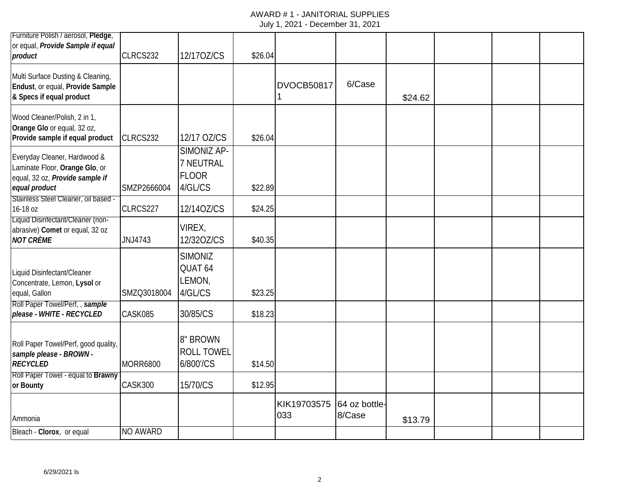## AWARD # 1 - JANITORIAL SUPPLIES

| Furniture Polish / aerosol, Pledge,                                                                                |                 |                                                     |         |                    |                         |         |  |  |
|--------------------------------------------------------------------------------------------------------------------|-----------------|-----------------------------------------------------|---------|--------------------|-------------------------|---------|--|--|
| or equal, Provide Sample if equal<br>product                                                                       | CLRCS232        | 12/170Z/CS                                          | \$26.04 |                    |                         |         |  |  |
| Multi Surface Dusting & Cleaning,<br>Endust, or equal, Provide Sample<br>& Specs if equal product                  |                 |                                                     |         | <b>DVOCB50817</b>  | 6/Case                  | \$24.62 |  |  |
| Wood Cleaner/Polish, 2 in 1,<br>Orange Glo or equal, 32 oz,<br>Provide sample if equal product                     | CLRCS232        | 12/17 OZ/CS                                         | \$26.04 |                    |                         |         |  |  |
| Everyday Cleaner, Hardwood &<br>Laminate Floor, Orange Glo, or<br>equal, 32 oz, Provide sample if<br>equal product | SMZP2666004     | SIMONIZ AP-<br>7 NEUTRAL<br><b>FLOOR</b><br>4/GL/CS | \$22.89 |                    |                         |         |  |  |
| Stainless Steel Cleaner, oil based -                                                                               |                 |                                                     |         |                    |                         |         |  |  |
| 16-18 oz<br>Liquid Disinfectant/Cleaner (non-                                                                      | CLRCS227        | 12/140Z/CS                                          | \$24.25 |                    |                         |         |  |  |
| abrasive) Comet or equal, 32 oz<br><b>NOT CRÈME</b>                                                                | JNJ4743         | VIREX,<br>12/320Z/CS                                | \$40.35 |                    |                         |         |  |  |
| Liquid Disinfectant/Cleaner<br>Concentrate, Lemon, Lysol or<br>equal, Gallon                                       | SMZQ3018004     | <b>SIMONIZ</b><br>QUAT 64<br>LEMON,<br>4/GL/CS      | \$23.25 |                    |                         |         |  |  |
| Roll Paper Towel/Perf,, sample<br>please - WHITE - RECYCLED                                                        | CASK085         | 30/85/CS                                            | \$18.23 |                    |                         |         |  |  |
| Roll Paper Towel/Perf, good quality,<br>sample please - BROWN -<br><b>RECYCLED</b>                                 | <b>MORR6800</b> | 8" BROWN<br><b>ROLL TOWEL</b><br>6/800'/CS          | \$14.50 |                    |                         |         |  |  |
| Roll Paper Towel - equal to Brawny<br>or Bounty                                                                    | CASK300         | 15/70/CS                                            | \$12.95 |                    |                         |         |  |  |
|                                                                                                                    |                 |                                                     |         | KIK19703575<br>033 | 64 oz bottle-<br>8/Case |         |  |  |
| Ammonia                                                                                                            |                 |                                                     |         |                    |                         | \$13.79 |  |  |
| Bleach - Clorox, or equal                                                                                          | <b>NO AWARD</b> |                                                     |         |                    |                         |         |  |  |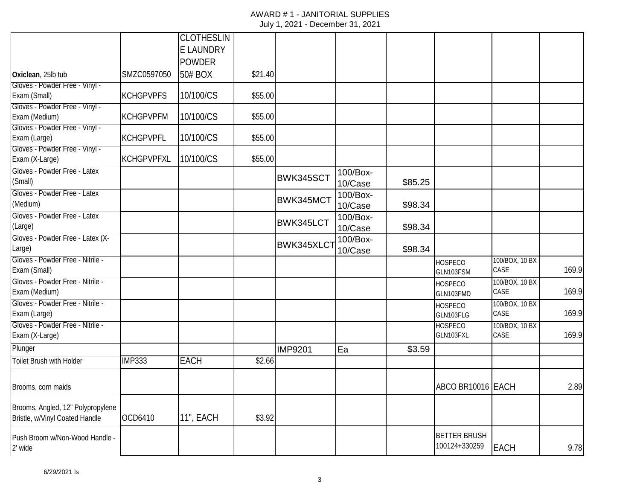|                                                                     |                  | <b>CLOTHESLIN</b> |         |                  |                     |         |                                      |                        |       |
|---------------------------------------------------------------------|------------------|-------------------|---------|------------------|---------------------|---------|--------------------------------------|------------------------|-------|
|                                                                     |                  | E LAUNDRY         |         |                  |                     |         |                                      |                        |       |
|                                                                     |                  | <b>POWDER</b>     |         |                  |                     |         |                                      |                        |       |
| Oxiclean, 25lb tub                                                  | SMZC0597050      | 50# BOX           | \$21.40 |                  |                     |         |                                      |                        |       |
| Gloves - Powder Free - Vinyl -<br>Exam (Small)                      | <b>KCHGPVPFS</b> | 10/100/CS         | \$55.00 |                  |                     |         |                                      |                        |       |
| Gloves - Powder Free - Vinyl -<br>Exam (Medium)                     | <b>KCHGPVPFM</b> | 10/100/CS         | \$55.00 |                  |                     |         |                                      |                        |       |
| Gloves - Powder Free - Vinyl -<br>Exam (Large)                      | <b>KCHGPVPFL</b> | 10/100/CS         | \$55.00 |                  |                     |         |                                      |                        |       |
| Gloves - Powder Free - Vinyl -<br>Exam (X-Large)                    | KCHGPVPFXL       | 10/100/CS         | \$55.00 |                  |                     |         |                                      |                        |       |
| Gloves - Powder Free - Latex<br>(Small)                             |                  |                   |         | BWK345SCT        | 100/Box-<br>10/Case | \$85.25 |                                      |                        |       |
| Gloves - Powder Free - Latex<br>(Medium)                            |                  |                   |         | BWK345MCT        | 100/Box-<br>10/Case | \$98.34 |                                      |                        |       |
| Gloves - Powder Free - Latex<br>(Large)                             |                  |                   |         | <b>BWK345LCT</b> | 100/Box-<br>10/Case | \$98.34 |                                      |                        |       |
| Gloves - Powder Free - Latex (X-<br>Large)                          |                  |                   |         | BWK345XLCT       | 100/Box-<br>10/Case | \$98.34 |                                      |                        |       |
| Gloves - Powder Free - Nitrile -<br>Exam (Small)                    |                  |                   |         |                  |                     |         | <b>HOSPECO</b><br>GLN103FSM          | 100/BOX, 10 BX<br>CASE | 169.9 |
| Gloves - Powder Free - Nitrile -<br>Exam (Medium)                   |                  |                   |         |                  |                     |         | <b>HOSPECO</b><br>GLN103FMD          | 100/BOX, 10 BX<br>CASE | 169.9 |
| Gloves - Powder Free - Nitrile -<br>Exam (Large)                    |                  |                   |         |                  |                     |         | <b>HOSPECO</b><br>GLN103FLG          | 100/BOX, 10 BX<br>CASE | 169.9 |
| Gloves - Powder Free - Nitrile -<br>Exam (X-Large)                  |                  |                   |         |                  |                     |         | <b>HOSPECO</b><br>GLN103FXL          | 100/BOX, 10 BX<br>CASE | 169.9 |
| Plunger                                                             |                  |                   |         | <b>IMP9201</b>   | Ea                  | \$3.59  |                                      |                        |       |
| Toilet Brush with Holder                                            | <b>IMP333</b>    | <b>EACH</b>       | \$2.66  |                  |                     |         |                                      |                        |       |
| Brooms, corn maids                                                  |                  |                   |         |                  |                     |         | ABCO BR10016 EACH                    |                        | 2.89  |
| Brooms, Angled, 12" Polypropylene<br>Bristle, w/Vinyl Coated Handle | OCD6410          | 11", EACH         | \$3.92  |                  |                     |         |                                      |                        |       |
| Push Broom w/Non-Wood Handle -<br>2' wide                           |                  |                   |         |                  |                     |         | <b>BETTER BRUSH</b><br>100124+330259 | <b>EACH</b>            | 9.78  |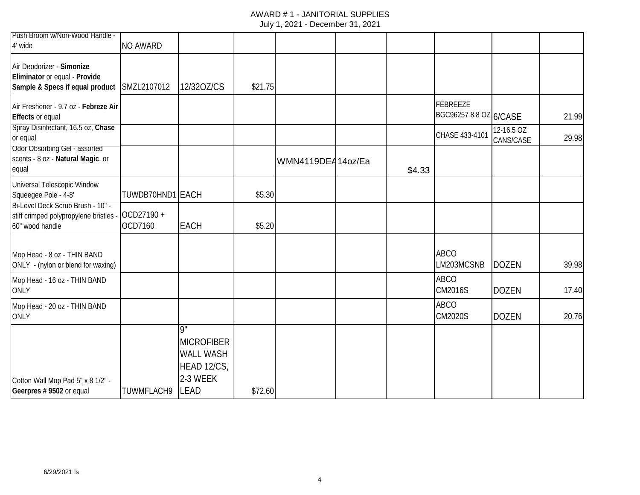# AWARD # 1 - JANITORIAL SUPPLIES

| Push Broom w/Non-Wood Handle -<br>4' wide                                                      | <b>NO AWARD</b>      |                                                                                       |         |                   |        |                                    |                         |       |
|------------------------------------------------------------------------------------------------|----------------------|---------------------------------------------------------------------------------------|---------|-------------------|--------|------------------------------------|-------------------------|-------|
| Air Deodorizer - Simonize<br>Eliminator or equal - Provide<br>Sample & Specs if equal product  | SMZL2107012          | 12/320Z/CS                                                                            | \$21.75 |                   |        |                                    |                         |       |
| Air Freshener - 9.7 oz - Febreze Air<br><b>Effects or equal</b>                                |                      |                                                                                       |         |                   |        | FEBREEZE<br>BGC96257 8.8 OZ 6/CASE |                         | 21.99 |
| Spray Disinfectant, 16.5 oz, Chase<br>or equal                                                 |                      |                                                                                       |         |                   |        | CHASE 433-4101                     | 12-16.5 OZ<br>CANS/CASE | 29.98 |
| <b>Odor Obsorbing Gel - assorted</b><br>scents - 8 oz - Natural Magic, or<br>equal             |                      |                                                                                       |         | WMN4119DEA14oz/Ea | \$4.33 |                                    |                         |       |
| Universal Telescopic Window<br>Squeegee Pole - 4-8'                                            | TUWDB70HND1 EACH     |                                                                                       | \$5.30  |                   |        |                                    |                         |       |
| Bi-Level Deck Scrub Brush - 10" -<br>stiff crimped polypropylene bristles -<br>60" wood handle | OCD27190+<br>OCD7160 | <b>EACH</b>                                                                           | \$5.20  |                   |        |                                    |                         |       |
| Mop Head - 8 oz - THIN BAND<br>ONLY - (nylon or blend for waxing)                              |                      |                                                                                       |         |                   |        | <b>ABCO</b><br>LM203MCSNB          | <b>DOZEN</b>            | 39.98 |
| Mop Head - 16 oz - THIN BAND<br><b>ONLY</b>                                                    |                      |                                                                                       |         |                   |        | <b>ABCO</b><br><b>CM2016S</b>      | <b>DOZEN</b>            | 17.40 |
| Mop Head - 20 oz - THIN BAND<br><b>ONLY</b>                                                    |                      |                                                                                       |         |                   |        | <b>ABCO</b><br><b>CM2020S</b>      | <b>DOZEN</b>            | 20.76 |
| Cotton Wall Mop Pad 5" x 8 1/2" -<br>Geerpres # 9502 or equal                                  | <b>TUWMFLACH9</b>    | Q"<br><b>MICROFIBER</b><br><b>WALL WASH</b><br>HEAD 12/CS,<br>2-3 WEEK<br><b>LEAD</b> | \$72.60 |                   |        |                                    |                         |       |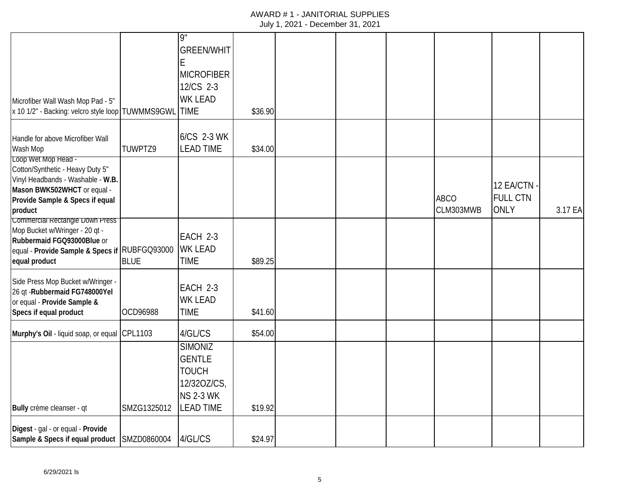| Microfiber Wall Wash Mop Pad - 5"<br>x 10 1/2" - Backing: velcro style loop TUWMMS9GWL                                                                                    |             | ió<br><b>GREEN/WHIT</b><br>E<br><b>MICROFIBER</b><br>12/CS 2-3<br><b>WK LEAD</b><br><b>TIME</b>        | \$36.90 |  |                          |                                             |         |
|---------------------------------------------------------------------------------------------------------------------------------------------------------------------------|-------------|--------------------------------------------------------------------------------------------------------|---------|--|--------------------------|---------------------------------------------|---------|
| Handle for above Microfiber Wall<br>Wash Mop                                                                                                                              | TUWPTZ9     | 6/CS 2-3 WK<br><b>LEAD TIME</b>                                                                        | \$34.00 |  |                          |                                             |         |
| Loop Wet Mop Head -<br>Cotton/Synthetic - Heavy Duty 5"<br>Vinyl Headbands - Washable - W.B.<br>Mason BWK502WHCT or equal -<br>Provide Sample & Specs if equal<br>product |             |                                                                                                        |         |  | <b>ABCO</b><br>CLM303MWB | 12 EA/CTN<br><b>FULL CTN</b><br><b>ONLY</b> | 3.17 EA |
| <b>Commercial Rectangle Down Press</b><br>Mop Bucket w/Wringer - 20 qt -<br>Rubbermaid FGQ93000Blue or<br>equal - Provide Sample & Specs if RUBFGQ93000<br>equal product  | <b>BLUE</b> | EACH 2-3<br><b>WK LEAD</b><br><b>TIME</b>                                                              | \$89.25 |  |                          |                                             |         |
| Side Press Mop Bucket w/Wringer -<br>26 qt - Rubbermaid FG748000Yel<br>or equal - Provide Sample &<br>Specs if equal product                                              | OCD96988    | EACH 2-3<br><b>WK LEAD</b><br><b>TIME</b>                                                              | \$41.60 |  |                          |                                             |         |
| Murphy's Oil - liquid soap, or equal CPL1103                                                                                                                              |             | 4/GL/CS                                                                                                | \$54.00 |  |                          |                                             |         |
| Bully crème cleanser - qt                                                                                                                                                 | SMZG1325012 | <b>SIMONIZ</b><br><b>GENTLE</b><br><b>TOUCH</b><br>12/320Z/CS,<br><b>NS 2-3 WK</b><br><b>LEAD TIME</b> | \$19.92 |  |                          |                                             |         |
| Digest - gal - or equal - Provide<br>Sample & Specs if equal product SMZD0860004                                                                                          |             | 4/GL/CS                                                                                                | \$24.97 |  |                          |                                             |         |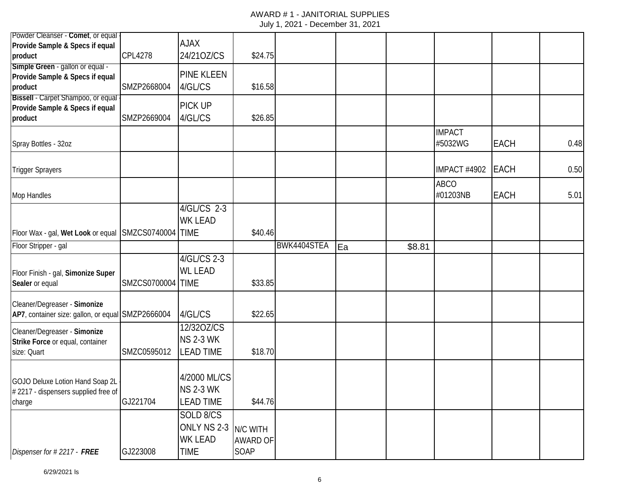| Powder Cleanser - Comet, or equal                                                 |                   | <b>AJAX</b>                                        |                                     |             |    |        |                          |             |      |
|-----------------------------------------------------------------------------------|-------------------|----------------------------------------------------|-------------------------------------|-------------|----|--------|--------------------------|-------------|------|
| Provide Sample & Specs if equal<br>product                                        | <b>CPL4278</b>    | 24/210Z/CS                                         | \$24.75                             |             |    |        |                          |             |      |
| Simple Green - gallon or equal -<br>Provide Sample & Specs if equal<br>product    | SMZP2668004       | PINE KLEEN<br>4/GL/CS                              | \$16.58                             |             |    |        |                          |             |      |
| Bissell - Carpet Shampoo, or equal<br>Provide Sample & Specs if equal<br>product  | SMZP2669004       | PICK UP<br>4/GL/CS                                 | \$26.85                             |             |    |        |                          |             |      |
| Spray Bottles - 32oz                                                              |                   |                                                    |                                     |             |    |        | <b>IMPACT</b><br>#5032WG | <b>EACH</b> | 0.48 |
| <b>Trigger Sprayers</b>                                                           |                   |                                                    |                                     |             |    |        | IMPACT #4902             | <b>EACH</b> | 0.50 |
| Mop Handles                                                                       |                   |                                                    |                                     |             |    |        | <b>ABCO</b><br>#01203NB  | <b>EACH</b> | 5.01 |
| Floor Wax - gal, Wet Look or equal SMZCS0740004 TIME                              |                   | 4/GL/CS 2-3<br><b>WK LEAD</b>                      | \$40.46                             |             |    |        |                          |             |      |
| Floor Stripper - gal                                                              |                   |                                                    |                                     | BWK4404STEA | Ea | \$8.81 |                          |             |      |
| Floor Finish - gal, Simonize Super<br>Sealer or equal                             | SMZCS0700004 TIME | 4/GL/CS 2-3<br><b>WL LEAD</b>                      | \$33.85                             |             |    |        |                          |             |      |
| Cleaner/Degreaser - Simonize<br>AP7, container size: gallon, or equal SMZP2666004 |                   | 4/GL/CS                                            | \$22.65                             |             |    |        |                          |             |      |
| Cleaner/Degreaser - Simonize<br>Strike Force or equal, container<br>size: Quart   | SMZC0595012       | 12/320Z/CS<br><b>NS 2-3 WK</b><br><b>LEAD TIME</b> | \$18.70                             |             |    |        |                          |             |      |
| GOJO Deluxe Lotion Hand Soap 2L<br>#2217 - dispensers supplied free of<br>charge  | GJ221704          | 4/2000 ML/CS<br><b>NS 2-3 WK</b><br>LEAD TIME      | \$44.76                             |             |    |        |                          |             |      |
| Dispenser for #2217 - FREE                                                        | GJ223008          | SOLD 8/CS<br>ONLY NS 2-3<br>WK LEAD<br><b>TIME</b> | N/C WITH<br><b>AWARD OF</b><br>SOAP |             |    |        |                          |             |      |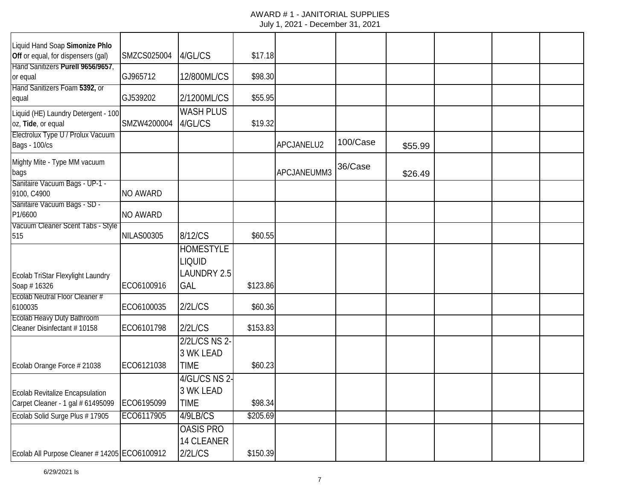| Liquid Hand Soap Simonize Phlo                                              |                   |                                                         |          |             |          |         |  |  |
|-----------------------------------------------------------------------------|-------------------|---------------------------------------------------------|----------|-------------|----------|---------|--|--|
| Off or equal, for dispensers (gal)                                          | SMZCS025004       | 4/GL/CS                                                 | \$17.18  |             |          |         |  |  |
| Hand Sanitizers Purell 9656/9657,<br>or equal                               | GJ965712          | 12/800ML/CS                                             | \$98.30  |             |          |         |  |  |
| Hand Sanitizers Foam 5392, or<br>equal                                      | GJ539202          | 2/1200ML/CS                                             | \$55.95  |             |          |         |  |  |
| Liquid (HE) Laundry Detergent - 100<br>oz, Tide, or equal                   | SMZW4200004       | <b>WASH PLUS</b><br>4/GL/CS                             | \$19.32  |             |          |         |  |  |
| Electrolux Type U / Prolux Vacuum<br><b>Bags - 100/cs</b>                   |                   |                                                         |          | APCJANELU2  | 100/Case | \$55.99 |  |  |
| Mighty Mite - Type MM vacuum<br>bags                                        |                   |                                                         |          | APCJANEUMM3 | 36/Case  | \$26.49 |  |  |
| Sanitaire Vacuum Bags - UP-1 -<br>9100, C4900                               | <b>NO AWARD</b>   |                                                         |          |             |          |         |  |  |
| Sanitaire Vacuum Bags - SD -<br>P1/6600                                     | <b>NO AWARD</b>   |                                                         |          |             |          |         |  |  |
| Vacuum Cleaner Scent Tabs - Style<br>515                                    | <b>NILAS00305</b> | 8/12/CS                                                 | \$60.55  |             |          |         |  |  |
| Ecolab TriStar Flexylight Laundry<br>Soap #16326                            | ECO6100916        | <b>HOMESTYLE</b><br><b>LIQUID</b><br>LAUNDRY 2.5<br>GAL | \$123.86 |             |          |         |  |  |
| Ecolab Neutral Floor Cleaner #<br>6100035                                   | ECO6100035        | 2/2L/CS                                                 | \$60.36  |             |          |         |  |  |
| <b>Ecolab Heavy Duty Bathroom</b><br>Cleaner Disinfectant #10158            | ECO6101798        | 2/2L/CS                                                 | \$153.83 |             |          |         |  |  |
|                                                                             |                   | 2/2L/CS NS 2-<br>3 WK LEAD                              |          |             |          |         |  |  |
| Ecolab Orange Force # 21038                                                 | ECO6121038        | <b>TIME</b>                                             | \$60.23  |             |          |         |  |  |
| <b>Ecolab Revitalize Encapsulation</b><br>Carpet Cleaner - 1 gal # 61495099 | ECO6195099        | 4/GL/CS NS 2-<br>3 WK LEAD<br>TIME                      | \$98.34  |             |          |         |  |  |
| Ecolab Solid Surge Plus # 17905                                             | ECO6117905        | 4/9LB/CS                                                | \$205.69 |             |          |         |  |  |
| Ecolab All Purpose Cleaner # 14205 ECO6100912                               |                   | <b>OASIS PRO</b><br>14 CLEANER<br>2/2L/CS               | \$150.39 |             |          |         |  |  |
|                                                                             |                   |                                                         |          |             |          |         |  |  |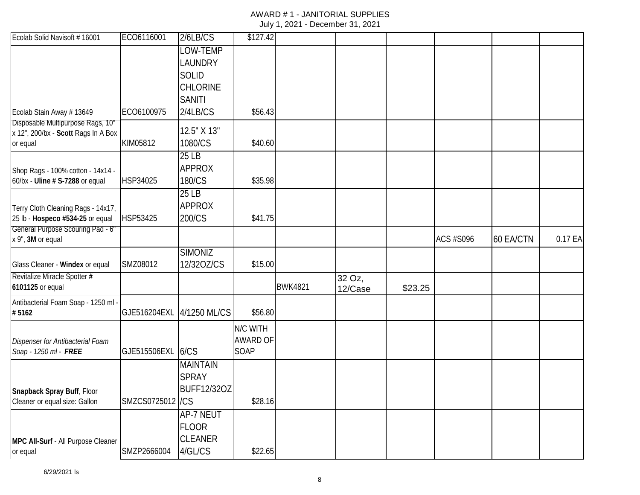| Ecolab Solid Navisoft # 16001                                         | ECO6116001       | 2/6LB/CS                           | \$127.42        |                |                   |         |                  |           |         |
|-----------------------------------------------------------------------|------------------|------------------------------------|-----------------|----------------|-------------------|---------|------------------|-----------|---------|
|                                                                       |                  | LOW-TEMP<br>LAUNDRY                |                 |                |                   |         |                  |           |         |
|                                                                       |                  | <b>SOLID</b>                       |                 |                |                   |         |                  |           |         |
|                                                                       |                  | <b>CHLORINE</b>                    |                 |                |                   |         |                  |           |         |
|                                                                       |                  | <b>SANITI</b>                      |                 |                |                   |         |                  |           |         |
| Ecolab Stain Away # 13649                                             | ECO6100975       | 2/4LB/CS                           | \$56.43         |                |                   |         |                  |           |         |
| Disposable Multipurpose Rags, 10"                                     |                  | 12.5" X 13"                        |                 |                |                   |         |                  |           |         |
| x 12", 200/bx - Scott Rags In A Box<br>or equal                       | KIM05812         | 1080/CS                            | \$40.60         |                |                   |         |                  |           |         |
|                                                                       |                  | 25LB                               |                 |                |                   |         |                  |           |         |
| Shop Rags - 100% cotton - 14x14 -                                     |                  | <b>APPROX</b>                      |                 |                |                   |         |                  |           |         |
| 60/bx - Uline # S-7288 or equal                                       | HSP34025         | 180/CS                             | \$35.98         |                |                   |         |                  |           |         |
|                                                                       |                  | 25LB                               |                 |                |                   |         |                  |           |         |
| Terry Cloth Cleaning Rags - 14x17,                                    |                  | <b>APPROX</b>                      |                 |                |                   |         |                  |           |         |
| 25 lb - Hospeco #534-25 or equal<br>General Purpose Scouring Pad - 6" | HSP53425         | 200/CS                             | \$41.75         |                |                   |         |                  |           |         |
| x 9", 3M or equal                                                     |                  |                                    |                 |                |                   |         | <b>ACS #S096</b> | 60 EA/CTN | 0.17 EA |
|                                                                       |                  | <b>SIMONIZ</b>                     |                 |                |                   |         |                  |           |         |
| Glass Cleaner - Windex or equal                                       | SMZ08012         | 12/320Z/CS                         | \$15.00         |                |                   |         |                  |           |         |
| Revitalize Miracle Spotter #<br>6101125 or equal                      |                  |                                    |                 | <b>BWK4821</b> | 32 Oz,<br>12/Case | \$23.25 |                  |           |         |
| Antibacterial Foam Soap - 1250 ml -                                   |                  |                                    |                 |                |                   |         |                  |           |         |
| #5162                                                                 | GJE516204EXL     | 4/1250 ML/CS                       | \$56.80         |                |                   |         |                  |           |         |
|                                                                       |                  |                                    | N/C WITH        |                |                   |         |                  |           |         |
| Dispenser for Antibacterial Foam                                      |                  |                                    | <b>AWARD OF</b> |                |                   |         |                  |           |         |
| Soap - 1250 ml - FREE                                                 | GJE515506EXL     | 6/CS                               | SOAP            |                |                   |         |                  |           |         |
|                                                                       |                  | <b>MAINTAIN</b>                    |                 |                |                   |         |                  |           |         |
|                                                                       |                  | <b>SPRAY</b><br><b>BUFF12/32OZ</b> |                 |                |                   |         |                  |           |         |
| Snapback Spray Buff, Floor<br>Cleaner or equal size: Gallon           | SMZCS0725012 /CS |                                    | \$28.16         |                |                   |         |                  |           |         |
|                                                                       |                  | <b>AP-7 NEUT</b>                   |                 |                |                   |         |                  |           |         |
|                                                                       |                  | <b>FLOOR</b>                       |                 |                |                   |         |                  |           |         |
| MPC All-Surf - All Purpose Cleaner                                    |                  | <b>CLEANER</b>                     |                 |                |                   |         |                  |           |         |
| or equal                                                              | SMZP2666004      | 4/GL/CS                            | \$22.65         |                |                   |         |                  |           |         |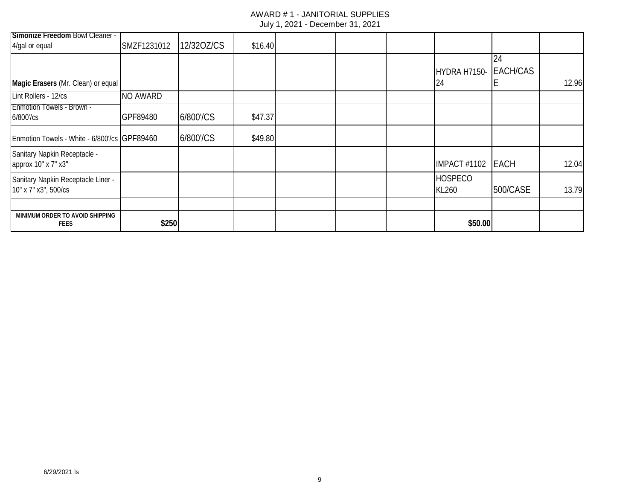| Simonize Freedom Bowl Cleaner -                            |             |            |         |  |                         |                 |       |
|------------------------------------------------------------|-------------|------------|---------|--|-------------------------|-----------------|-------|
| 4/gal or equal                                             | SMZF1231012 | 12/320Z/CS | \$16.40 |  |                         |                 |       |
|                                                            |             |            |         |  |                         | 24              |       |
|                                                            |             |            |         |  | HYDRA H7150-            | <b>EACH/CAS</b> |       |
| Magic Erasers (Mr. Clean) or equal                         |             |            |         |  | 24                      |                 | 12.96 |
| Lint Rollers - 12/cs                                       | NO AWARD    |            |         |  |                         |                 |       |
| <b>Enmotion Towels - Brown -</b><br>6/800'/cs              | GPF89480    | 6/800'/CS  | \$47.37 |  |                         |                 |       |
| Enmotion Towels - White - 6/800'/cs GPF89460               |             | 6/800'/CS  | \$49.80 |  |                         |                 |       |
| Sanitary Napkin Receptacle -<br>арргох 10" х 7" х3"        |             |            |         |  | <b>IMPACT #1102</b>     | <b>EACH</b>     | 12.04 |
| Sanitary Napkin Receptacle Liner -<br>10" x 7" x3", 500/cs |             |            |         |  | <b>HOSPECO</b><br>KL260 | 500/CASE        | 13.79 |
|                                                            |             |            |         |  |                         |                 |       |
| MINIMUM ORDER TO AVOID SHIPPING<br><b>FEES</b>             | \$250       |            |         |  | \$50.00                 |                 |       |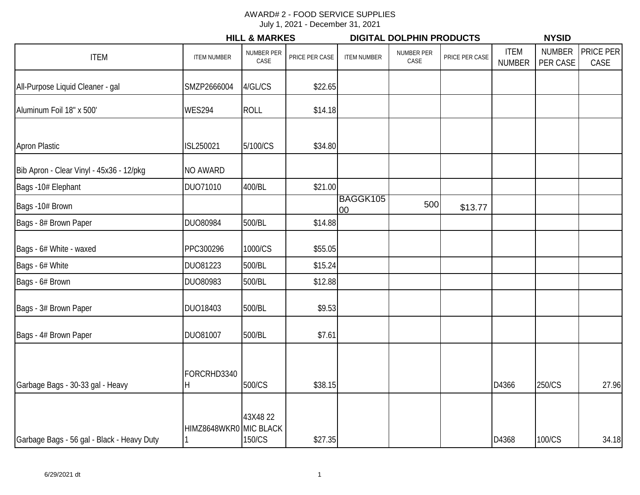|                                            |                        | <b>HILL &amp; MARKES</b> |                |                    | <b>DIGITAL DOLPHIN PRODUCTS</b> |                |                              | <b>NYSID</b>              |                   |
|--------------------------------------------|------------------------|--------------------------|----------------|--------------------|---------------------------------|----------------|------------------------------|---------------------------|-------------------|
| <b>ITEM</b>                                | <b>ITEM NUMBER</b>     | NUMBER PER<br>CASE       | PRICE PER CASE | <b>ITEM NUMBER</b> | NUMBER PER<br>CASE              | PRICE PER CASE | <b>ITEM</b><br><b>NUMBER</b> | <b>NUMBER</b><br>PER CASE | PRICE PER<br>CASE |
| All-Purpose Liquid Cleaner - gal           | SMZP2666004            | 4/GL/CS                  | \$22.65        |                    |                                 |                |                              |                           |                   |
| Aluminum Foil 18" x 500'                   | <b>WES294</b>          | <b>ROLL</b>              | \$14.18        |                    |                                 |                |                              |                           |                   |
| <b>Apron Plastic</b>                       | ISL250021              | 5/100/CS                 | \$34.80        |                    |                                 |                |                              |                           |                   |
| Bib Apron - Clear Vinyl - 45x36 - 12/pkg   | <b>NO AWARD</b>        |                          |                |                    |                                 |                |                              |                           |                   |
| Bags -10# Elephant                         | DUO71010               | 400/BL                   | \$21.00        |                    |                                 |                |                              |                           |                   |
| Bags -10# Brown                            |                        |                          |                | BAGGK105<br>00     | 500                             | \$13.77        |                              |                           |                   |
| Bags - 8# Brown Paper                      | <b>DUO80984</b>        | 500/BL                   | \$14.88        |                    |                                 |                |                              |                           |                   |
| Bags - 6# White - waxed                    | PPC300296              | 1000/CS                  | \$55.05        |                    |                                 |                |                              |                           |                   |
| Bags - 6# White                            | DU081223               | 500/BL                   | \$15.24        |                    |                                 |                |                              |                           |                   |
| Bags - 6# Brown                            | DUO80983               | 500/BL                   | \$12.88        |                    |                                 |                |                              |                           |                   |
| Bags - 3# Brown Paper                      | DUO18403               | 500/BL                   | \$9.53         |                    |                                 |                |                              |                           |                   |
| Bags - 4# Brown Paper                      | DUO81007               | 500/BL                   | \$7.61         |                    |                                 |                |                              |                           |                   |
| Garbage Bags - 30-33 gal - Heavy           | FORCRHD3340<br>Η       | 500/CS                   | \$38.15        |                    |                                 |                | D4366                        | 250/CS                    | 27.96             |
| Garbage Bags - 56 gal - Black - Heavy Duty | HIMZ8648WKR0 MIC BLACK | 43X4822<br>150/CS        | \$27.35        |                    |                                 |                | D4368                        | 100/CS                    | 34.18             |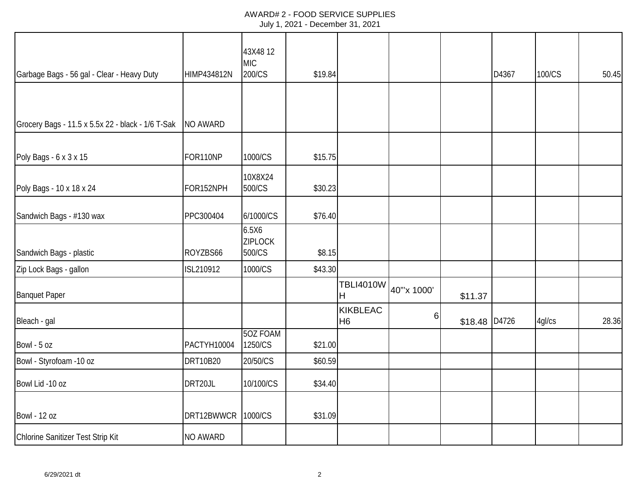## AWARD# 2 - FOOD SERVICE SUPPLIES July 1, 2021 - December 31, 2021

| Garbage Bags - 56 gal - Clear - Heavy Duty        | HIMP434812N     | 43X4812<br><b>MIC</b><br>200/CS   | \$19.84 |                                   |             |         | D4367 | 100/CS | 50.45 |
|---------------------------------------------------|-----------------|-----------------------------------|---------|-----------------------------------|-------------|---------|-------|--------|-------|
|                                                   |                 |                                   |         |                                   |             |         |       |        |       |
| Grocery Bags - 11.5 x 5.5x 22 - black - 1/6 T-Sak | NO AWARD        |                                   |         |                                   |             |         |       |        |       |
| Poly Bags - 6 x 3 x 15                            | FOR110NP        | 1000/CS                           | \$15.75 |                                   |             |         |       |        |       |
| Poly Bags - 10 x 18 x 24                          | FOR152NPH       | 10X8X24<br>500/CS                 | \$30.23 |                                   |             |         |       |        |       |
| Sandwich Bags - #130 wax                          | PPC300404       | 6/1000/CS                         | \$76.40 |                                   |             |         |       |        |       |
| Sandwich Bags - plastic                           | ROYZBS66        | 6.5X6<br><b>ZIPLOCK</b><br>500/CS | \$8.15  |                                   |             |         |       |        |       |
| Zip Lock Bags - gallon                            | ISL210912       | 1000/CS                           | \$43.30 |                                   |             |         |       |        |       |
| <b>Banquet Paper</b>                              |                 |                                   |         | <b>TBLI4010W</b><br>Η             | 40"'x 1000' | \$11.37 |       |        |       |
| Bleach - gal                                      |                 |                                   |         | <b>KIKBLEAC</b><br>H <sub>6</sub> | 6           | \$18.48 | D4726 | 4gl/cs | 28.36 |
| Bowl - 5 oz                                       | PACTYH10004     | 50Z FOAM<br>1250/CS               | \$21.00 |                                   |             |         |       |        |       |
| Bowl - Styrofoam -10 oz                           | <b>DRT10B20</b> | 20/50/CS                          | \$60.59 |                                   |             |         |       |        |       |
| Bowl Lid -10 oz                                   | DRT20JL         | 10/100/CS                         | \$34.40 |                                   |             |         |       |        |       |
| <b>Bowl - 12 oz</b>                               | DRT12BWWCR      | 1000/CS                           | \$31.09 |                                   |             |         |       |        |       |
| Chlorine Sanitizer Test Strip Kit                 | <b>NO AWARD</b> |                                   |         |                                   |             |         |       |        |       |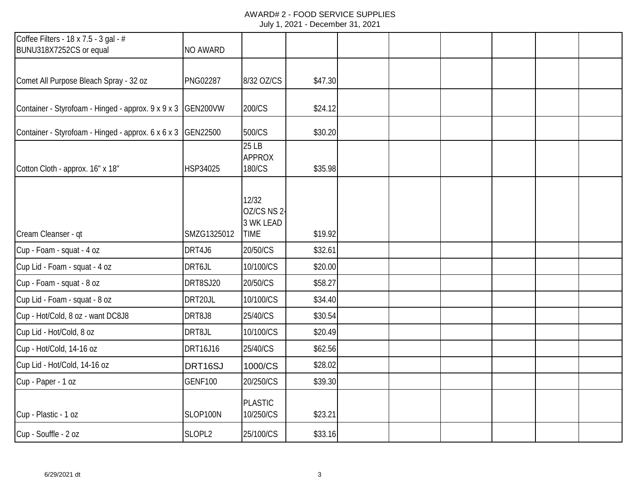## AWARD# 2 - FOOD SERVICE SUPPLIES July 1, 2021 - December 31, 2021

| Coffee Filters - 18 x 7.5 - 3 gal - #<br>BUNU318X7252CS or equal | <b>NO AWARD</b> |                                                  |         |  |  |  |
|------------------------------------------------------------------|-----------------|--------------------------------------------------|---------|--|--|--|
|                                                                  |                 |                                                  |         |  |  |  |
| Comet All Purpose Bleach Spray - 32 oz                           | <b>PNG02287</b> | 8/32 OZ/CS                                       | \$47.30 |  |  |  |
| Container - Styrofoam - Hinged - approx. 9 x 9 x 3               | GEN200VW        | 200/CS                                           | \$24.12 |  |  |  |
| Container - Styrofoam - Hinged - approx. 6 x 6 x 3               | GEN22500        | 500/CS                                           | \$30.20 |  |  |  |
| Cotton Cloth - approx. 16" x 18"                                 | HSP34025        | 25 LB<br><b>APPROX</b><br>180/CS                 | \$35.98 |  |  |  |
| Cream Cleanser - qt                                              | SMZG1325012     | 12/32<br>OZ/CS NS 2-<br>3 WK LEAD<br><b>TIME</b> | \$19.92 |  |  |  |
| Cup - Foam - squat - 4 oz                                        | DRT4J6          | 20/50/CS                                         | \$32.61 |  |  |  |
| Cup Lid - Foam - squat - 4 oz                                    | DRT6JL          | 10/100/CS                                        | \$20.00 |  |  |  |
| Cup - Foam - squat - 8 oz                                        | DRT8SJ20        | 20/50/CS                                         | \$58.27 |  |  |  |
| Cup Lid - Foam - squat - 8 oz                                    | DRT20JL         | 10/100/CS                                        | \$34.40 |  |  |  |
| Cup - Hot/Cold, 8 oz - want DC8J8                                | DRT8J8          | 25/40/CS                                         | \$30.54 |  |  |  |
| Cup Lid - Hot/Cold, 8 oz                                         | DRT8JL          | 10/100/CS                                        | \$20.49 |  |  |  |
| Cup - Hot/Cold, 14-16 oz                                         | DRT16J16        | 25/40/CS                                         | \$62.56 |  |  |  |
| Cup Lid - Hot/Cold, 14-16 oz                                     | DRT16SJ         | 1000/CS                                          | \$28.02 |  |  |  |
| Cup - Paper - 1 oz                                               | <b>GENF100</b>  | 20/250/CS                                        | \$39.30 |  |  |  |
| Cup - Plastic - 1 oz                                             | SLOP100N        | <b>PLASTIC</b><br>10/250/CS                      | \$23.21 |  |  |  |
| Cup - Souffle - 2 oz                                             | SLOPL2          | 25/100/CS                                        | \$33.16 |  |  |  |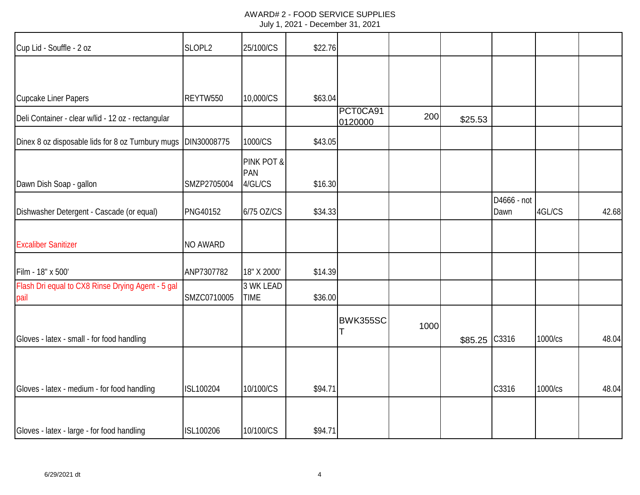| July 1, 2021 - December 31, 2021 |  |  |  |
|----------------------------------|--|--|--|
|----------------------------------|--|--|--|

| Cup Lid - Souffle - 2 oz                                  | SLOPL2      | 25/100/CS                    | \$22.76 |                     |      |         |                     |         |       |
|-----------------------------------------------------------|-------------|------------------------------|---------|---------------------|------|---------|---------------------|---------|-------|
|                                                           |             |                              |         |                     |      |         |                     |         |       |
| <b>Cupcake Liner Papers</b>                               | REYTW550    | 10,000/CS                    | \$63.04 |                     |      |         |                     |         |       |
| Deli Container - clear w/lid - 12 oz - rectangular        |             |                              |         | PCT0CA91<br>0120000 | 200  | \$25.53 |                     |         |       |
| Dinex 8 oz disposable lids for 8 oz Turnbury mugs         | DIN30008775 | 1000/CS                      | \$43.05 |                     |      |         |                     |         |       |
| Dawn Dish Soap - gallon                                   | SMZP2705004 | PINK POT &<br>PAN<br>4/GL/CS | \$16.30 |                     |      |         |                     |         |       |
| Dishwasher Detergent - Cascade (or equal)                 | PNG40152    | 6/75 OZ/CS                   | \$34.33 |                     |      |         | D4666 - not<br>Dawn | 4GL/CS  | 42.68 |
| <b>Excaliber Sanitizer</b>                                | NO AWARD    |                              |         |                     |      |         |                     |         |       |
| Film - 18" x 500'                                         | ANP7307782  | 18" X 2000'                  | \$14.39 |                     |      |         |                     |         |       |
| Flash Dri equal to CX8 Rinse Drying Agent - 5 gal<br>pail | SMZC0710005 | 3 WK LEAD<br><b>TIME</b>     | \$36.00 |                     |      |         |                     |         |       |
|                                                           |             |                              |         | BWK355SC            | 1000 |         |                     |         |       |
| Gloves - latex - small - for food handling                |             |                              |         |                     |      | \$85.25 | C3316               | 1000/cs | 48.04 |
| Gloves - latex - medium - for food handling               | ISL100204   | 10/100/CS                    | \$94.71 |                     |      |         | C3316               | 1000/cs | 48.04 |
| Gloves - latex - large - for food handling                | ISL100206   | 10/100/CS                    | \$94.71 |                     |      |         |                     |         |       |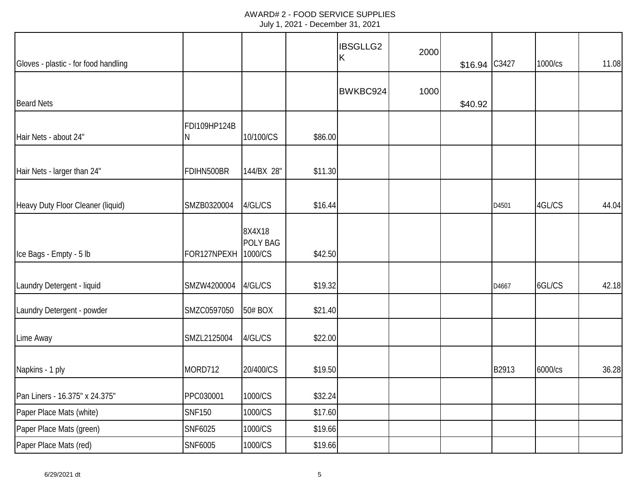| Gloves - plastic - for food handling |                     |                           |         | <b>IBSGLLG2</b><br>K | 2000 | \$16.94 | C3427 | 1000/cs | 11.08 |
|--------------------------------------|---------------------|---------------------------|---------|----------------------|------|---------|-------|---------|-------|
| <b>Beard Nets</b>                    |                     |                           |         | BWKBC924             | 1000 | \$40.92 |       |         |       |
| Hair Nets - about 24"                | FDI109HP124B<br>N   | 10/100/CS                 | \$86.00 |                      |      |         |       |         |       |
| Hair Nets - larger than 24"          | FDIHN500BR          | 144/BX 28"                | \$11.30 |                      |      |         |       |         |       |
| Heavy Duty Floor Cleaner (liquid)    | SMZB0320004         | 4/GL/CS                   | \$16.44 |                      |      |         | D4501 | 4GL/CS  | 44.04 |
| Ice Bags - Empty - 5 lb              | FOR127NPEXH 1000/CS | 8X4X18<br><b>POLY BAG</b> | \$42.50 |                      |      |         |       |         |       |
| Laundry Detergent - liquid           | SMZW4200004         | 4/GL/CS                   | \$19.32 |                      |      |         | D4667 | 6GL/CS  | 42.18 |
| Laundry Detergent - powder           | SMZC0597050         | 50# BOX                   | \$21.40 |                      |      |         |       |         |       |
| Lime Away                            | SMZL2125004         | 4/GL/CS                   | \$22.00 |                      |      |         |       |         |       |
| Napkins - 1 ply                      | MORD712             | 20/400/CS                 | \$19.50 |                      |      |         | B2913 | 6000/cs | 36.28 |
| Pan Liners - 16.375" x 24.375"       | PPC030001           | 1000/CS                   | \$32.24 |                      |      |         |       |         |       |
| Paper Place Mats (white)             | <b>SNF150</b>       | 1000/CS                   | \$17.60 |                      |      |         |       |         |       |
| Paper Place Mats (green)             | SNF6025             | 1000/CS                   | \$19.66 |                      |      |         |       |         |       |
| Paper Place Mats (red)               | SNF6005             | 1000/CS                   | \$19.66 |                      |      |         |       |         |       |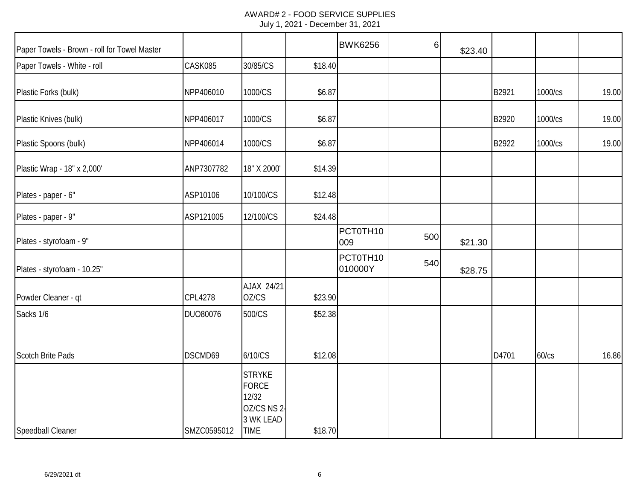|  | July 1, 2021 - December 31, 2021 |  |
|--|----------------------------------|--|
|--|----------------------------------|--|

| Paper Towels - Brown - roll for Towel Master |             |                                                                                   |         | <b>BWK6256</b>      | 6   | \$23.40 |       |         |       |
|----------------------------------------------|-------------|-----------------------------------------------------------------------------------|---------|---------------------|-----|---------|-------|---------|-------|
| Paper Towels - White - roll                  | CASK085     | 30/85/CS                                                                          | \$18.40 |                     |     |         |       |         |       |
| Plastic Forks (bulk)                         | NPP406010   | 1000/CS                                                                           | \$6.87  |                     |     |         | B2921 | 1000/cs | 19.00 |
| Plastic Knives (bulk)                        | NPP406017   | 1000/CS                                                                           | \$6.87  |                     |     |         | B2920 | 1000/cs | 19.00 |
| Plastic Spoons (bulk)                        | NPP406014   | 1000/CS                                                                           | \$6.87  |                     |     |         | B2922 | 1000/cs | 19.00 |
| Plastic Wrap - 18" x 2,000'                  | ANP7307782  | 18" X 2000'                                                                       | \$14.39 |                     |     |         |       |         |       |
| Plates - paper - 6"                          | ASP10106    | 10/100/CS                                                                         | \$12.48 |                     |     |         |       |         |       |
| Plates - paper - 9"                          | ASP121005   | 12/100/CS                                                                         | \$24.48 |                     |     |         |       |         |       |
| Plates - styrofoam - 9"                      |             |                                                                                   |         | PCT0TH10<br>009     | 500 | \$21.30 |       |         |       |
| Plates - styrofoam - 10.25"                  |             |                                                                                   |         | PCT0TH10<br>010000Y | 540 | \$28.75 |       |         |       |
| Powder Cleaner - qt                          | CPL4278     | AJAX 24/21<br>OZ/CS                                                               | \$23.90 |                     |     |         |       |         |       |
| Sacks 1/6                                    | DUO80076    | 500/CS                                                                            | \$52.38 |                     |     |         |       |         |       |
| <b>Scotch Brite Pads</b>                     | DSCMD69     | 6/10/CS                                                                           | \$12.08 |                     |     |         | D4701 | 60/cs   | 16.86 |
| Speedball Cleaner                            | SMZC0595012 | <b>STRYKE</b><br><b>FORCE</b><br>12/32<br>OZ/CS NS 2-<br>3 WK LEAD<br><b>TIME</b> | \$18.70 |                     |     |         |       |         |       |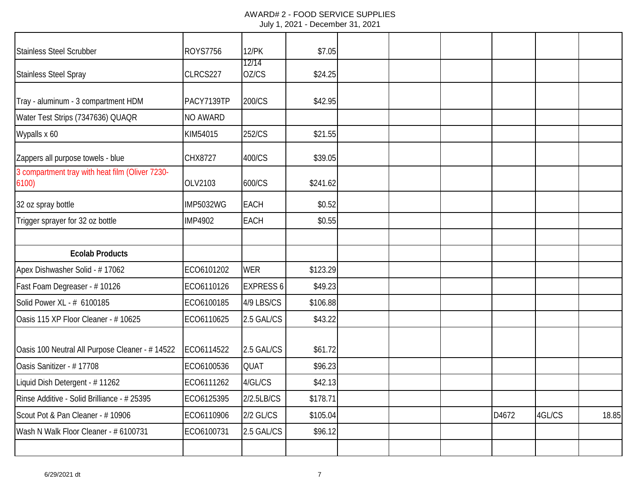## AWARD# 2 - FOOD SERVICE SUPPLIES July 1, 2021 - December 31, 2021

| Stainless Steel Scrubber                                 | <b>ROYS7756</b>  | <b>12/PK</b>     | \$7.05   |  |       |        |       |
|----------------------------------------------------------|------------------|------------------|----------|--|-------|--------|-------|
| <b>Stainless Steel Spray</b>                             | CLRCS227         | 12/14<br>OZ/CS   | \$24.25  |  |       |        |       |
| Tray - aluminum - 3 compartment HDM                      | PACY7139TP       | 200/CS           | \$42.95  |  |       |        |       |
| Water Test Strips (7347636) QUAQR                        | NO AWARD         |                  |          |  |       |        |       |
| Wypalls x 60                                             | KIM54015         | 252/CS           | \$21.55  |  |       |        |       |
| Zappers all purpose towels - blue                        | CHX8727          | 400/CS           | \$39.05  |  |       |        |       |
| 3 compartment tray with heat film (Oliver 7230-<br>6100) | OLV2103          | 600/CS           | \$241.62 |  |       |        |       |
| 32 oz spray bottle                                       | <b>IMP5032WG</b> | <b>EACH</b>      | \$0.52   |  |       |        |       |
| Trigger sprayer for 32 oz bottle                         | <b>IMP4902</b>   | <b>EACH</b>      | \$0.55   |  |       |        |       |
|                                                          |                  |                  |          |  |       |        |       |
| <b>Ecolab Products</b>                                   |                  |                  |          |  |       |        |       |
| Apex Dishwasher Solid - #17062                           | ECO6101202       | <b>WER</b>       | \$123.29 |  |       |        |       |
| Fast Foam Degreaser - #10126                             | ECO6110126       | <b>EXPRESS 6</b> | \$49.23  |  |       |        |       |
| Solid Power XL - # 6100185                               | ECO6100185       | 4/9 LBS/CS       | \$106.88 |  |       |        |       |
| Oasis 115 XP Floor Cleaner - # 10625                     | ECO6110625       | 2.5 GAL/CS       | \$43.22  |  |       |        |       |
| Oasis 100 Neutral All Purpose Cleaner - # 14522          | ECO6114522       | 2.5 GAL/CS       | \$61.72  |  |       |        |       |
| Oasis Sanitizer - #17708                                 | ECO6100536       | QUAT             | \$96.23  |  |       |        |       |
| Liquid Dish Detergent - #11262                           | ECO6111262       | 4/GL/CS          | \$42.13  |  |       |        |       |
| Rinse Additive - Solid Brilliance - # 25395              | ECO6125395       | 2/2.5LB/CS       | \$178.71 |  |       |        |       |
| Scout Pot & Pan Cleaner - #10906                         | ECO6110906       | 2/2 GL/CS        | \$105.04 |  | D4672 | 4GL/CS | 18.85 |
| Wash N Walk Floor Cleaner - # 6100731                    | ECO6100731       | 2.5 GAL/CS       | \$96.12  |  |       |        |       |
|                                                          |                  |                  |          |  |       |        |       |